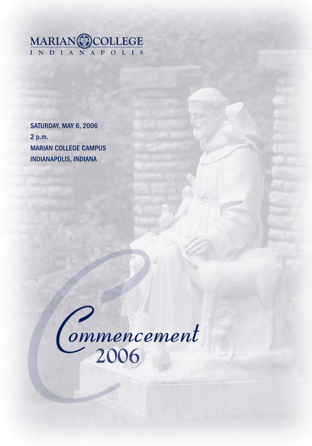

SATURDAY, MAY 6, 2006 2 p.m. MARIAN COLLEGE CAMPUS INDIANAPOLIS, INDIANA

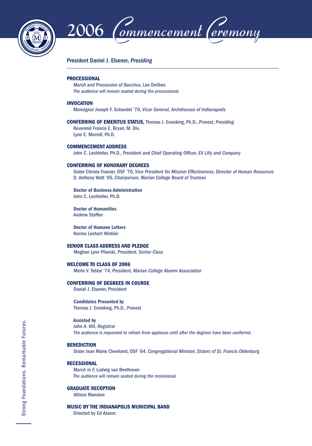



## President Daniel J. Elsener, *Presiding*

#### **PROCESSIONAL**

 *March and Procession of Bacchus*, Leo Delibes *The audience will remain seated during the processional.*

#### **INVOCATION**

Monsignor Joseph F. Schaedel '70, *Vicar General, Archdiocese of Indianapolis*

**CONFERRING OF EMERITUS STATUS,** Thomas J. Enneking, Ph.D., *Provost*, *Presiding* Reverend Francis E. Bryan, M. Div. Lynn E. Morrell, Ph.D.

#### **COMMENCEMENT ADDRESS**

John C. Lechleiter, Ph.D., *President and Chief Operating Officer*, Eli Lilly and Company

#### **CONFERRING OF HONORARY DEGREES**

 Sister Christa Franzer, OSF '70, *Vice President for Mission Effectiveness, Director of Human Resources* D. Anthony Watt '65, *Chairperson, Marian College Board of Trustees*

 **Doctor of Business Administration** John C. Lechleiter, Ph.D.

 **Doctor of Humanities** Andrew Steffen

 **Doctor of Humane Letters** Norma Lenhart Winkler

## **SENIOR CLASS ADDRESS AND PLEDGE**

Meghan Lynn Pilarski, *President, Senior Class*

#### **WELCOME TO CLASS OF 2006**

Merle V. Tebbe '74, *President, Marian College Alumni Association*

#### **CONFERRING OF DEGREES IN COURSE**

Daniel J. Elsener, *President*

 **Candidates Presented by**  Thomas J. Enneking, Ph.D., *Provost*

### **Assisted by**

 John A. Hill, *Registrar The audience is requested to refrain from applause until after the degrees have been conferred.*

#### **BENEDICTION**

Sister Jean Marie Cleveland, OSF '64, *Congregational Minister, Sisters of St. Francis Oldenburg*

#### **RECESSIONAL**

 *March in F,* Ludwig van Beethoven  *The audience will remain seated during the recessional.*

## **GRADUATE RECEPTION**

Allison Mansion

## **MUSIC BY THE INDIANAPOLIS MUNICIPAL BAND**

Directed by Ed Axsom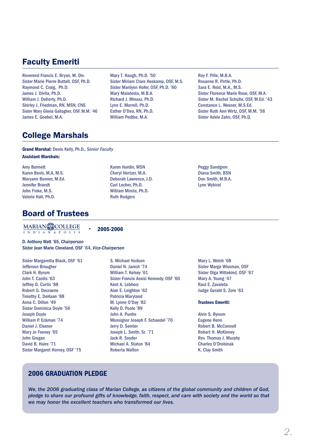# Faculty Emeriti

Reverend Francis E. Bryan, M. Div. Sister Marie Pierre Buttell, OSF, Ph.D. Raymond C. Craig, Ph.D. James J. Divita, Ph.D. William J. Doherty, Ph.D. Shirley J. Friedman, RN, MSN, CNS Sister Mary Gloria Gallagher, OSF, M.M. '46 James E. Goebel, M.A.

Mary T. Haugh, Ph.D. '50 Sister Miriam Clare Heskamp, OSF, M.S. Sister Marilynn Hofer, OSF, Ph.D. '60 Mary Malatesta, M.B.A. Richard J. Minasz, Ph.D. Lynn E. Morrell, Ph.D. Esther O'Dea, RN, Ph.D. William Pedtke, M.A.

Roy F. Pille, M.B.A. Rosanne R. Pirtle, Ph.D. Sara E. Reid, M.A., M.S. Sister Florence Marie Rose, OSF, M.A. Sister M. Rachel Schulte, OSF, M.Ed. '43 Constance L. Wesner, M.S.Ed. Sister Ruth Ann Wirtz, OSF, M.M. '56 Sister Adele Zahn, OSF, Ph.D.

# College Marshals

**Grand Marshal:** Denis Kelly, Ph.D., *Senior Faculty* **Assistant Marshals:**

Amy Bennett Karen Bevis, M.A, M.S. Maryann Bonner, M.Ed. Jennifer Brandt John Finke, M.S. Valerie Hall, Ph.D.

# Board of Trustees

**INDIANAPOLIS MARIAN COLLEGE**

**2005-2006**

Karen Hardin, MSN Cheryl Hertzer, M.A. Deborah Lawrence, J.D. Carl Lecher, Ph.D. William Mirola, Ph.D. Ruth Rodgers

D. Anthony Watt '65, *Chairperson* Sister Jean Marie Cleveland, OSF '64, *Vice-Chairperson*

Sister Margaretta Black, OSF '61 Jefferson Brougher Clark H. Byrum John T. Cardis '63 Jeffrey D. Curtis '88 Robert G. Decraene Timothy E. DeHaan '88 Anna C. Dillon '49 Sister Dominica Doyle '56 Joseph Doyle William P. Eckman '74 Daniel J. Elsener Mary Jo Feeney '65 John Grogan David B. Haire '71 Sister Margaret Horney, OSF '75

S. Michael Hudson Daniel N. Janich '74 William T. Kelsey '61 Sister Francis Assisi Kennedy, OSF '60 Kent A. Lebherz Alan E. Leighton '62 Patricia Maryland M. Lynne O'Day '82 Kelly D. Poole '89 John A. Purdie Monsignor Joseph F. Schaedel '70 Jerry D. Semler Joseph L. Smith, Sr. '71 Jack R. Snyder Michael A. Staton '84 Roberta Walton

Peggy Sandgren Diana Smith, BSN Don Smith, M.B.A. Lynn Wybiral

Mary L. Welch '68 Sister Marge Wissman, OSF Sister Olga Wittekind, OSF '67 Mary A. Young '47 Raul E. Zavaleta Judge Gerald S. Zore '63

### **Trustees Emeriti:**

Alvin S. Bynum Eugene Henn Robert B. McConnell Robert H. McKinney Rev. Thomas J. Murphy Charles O'Drobinak K. Clay Smith

# **2006 GRADUATION PLEDGE**

*We, the 2006 graduating class of Marian College, as citizens of the global community and children of God, pledge to share our profound gifts of knowledge, faith, respect, and care with society and the world so that we may honor the excellent teachers who transformed our lives.*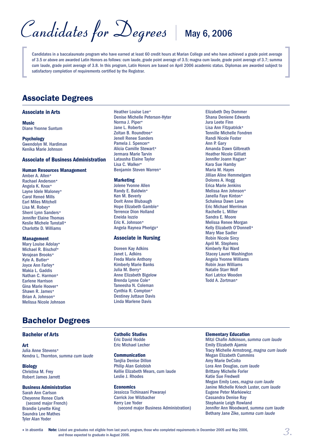Candidates for Degrees | May 6, 2006

Candidates in a baccalaureate program who have earned at least 60 credit hours at Marian College and who have achieved a grade point average of 3.5 or above are awarded Latin Honors as follows: cum laude, grade point average of 3.5; magna cum laude, grade point average of 3.7; summa cum laude, grade point average of 3.8. In this program, Latin Honors are based on April 2006 academic status. Diplomas are awarded subject to satisfactory completion of requirements certified by the Registrar.

# Associate Degrees

## **Associate in Arts**

**Music** Diane Yvonne Suntum

**Psychology**

Gwendolyn M. Hardiman Kenika Marie Johnson

## **Associate of Business Administration**

#### **Human Resources Management**

Amber A. Allen\* Rachael Anderson\* Angela K. Knox\* Layne Idele Maloney\* Carol Reneé Mills Earl Miles Mitchell Lisa M. Robey\* Sherri Lynn Sanders\* Jennifer Elaine Thomas Keslie Michele Tunstall\* Charlotte D. Williams

#### **Management**

Mary Louise Adolay\* Michael R. Bischof\* Verajean Brooks\* Kyle A. Butler\* Joyce Ann Farley\* Makia L. Gaddis Nathan C. Harmon\* Earlene Harrison Gina Marie Hoover\* Shawn R. James\* Brian A. Johnson\* Melissa Nicole Johnson

# Bachelor Degrees

#### **Bachelor of Arts**

#### **Art**

Julia Anne Stevens\* Kendra L. Thornton, *summa cum laude*

**Biology** Christina M. Frey Robert James Jarrett

## **Business Administration**

Sarah Ann Carlson Cheyenne Renee Clark (second major French) Brandie Lynette King Saundra Lee Mathes Tyler Alan Yoder

Heather Louise Lee\* Denise Michelle Peterson-Hyter Norma J. Piper\* Jane L. Roberts Zoltan B. Roundtree\* Jenell Renee Sanders Pamela J. Spencer\* Alicia Camille Stewart\* Jermara Marie Tarvin Latausha Elaine Taylor Lisa C. Walker\* Benjamin Steven Warren\*

## **Marketing**

Jolene Yvonne Allen Randy E. Baldwin\* Ken M. Beverly Dorit Anne Blubaugh Hope Elizabeth Gamble\* Terrence Dion Holland Eneida Iozzio Eric K. Johnson\* Angela Raynea Pherigo\*

## **Associate in Nursing**

Doreen Kay Adkins Janet L. Adkins Freda Marie Anthony Kimberly Marie Banks Julia M. Berry\* Anne Elizabeth Bigelow Brenda Lynne Cole\* Taneesha N. Coleman Cynthia R. Compton\* Destiney Juttaun Davis Linda Marlene Davis

Elizabeth Dey Dommer Shana Deniene Edwards Jura Leete Finn Lisa Ann Fitzpatrick\* Tennille Michelle Fondren Randi Nicole Foster Ann P. Gary Amanda Dawn Gilbreath Heather Nicole Gilliatt Jennifer Joann Hagan\* Kara Sue Hamby Maria M. Hayes Jillian Aline Hemmelgarn Dolores A. Hogg Erica Marie Jenkins Melissa Ann Johnson\* Janella Faye Kinton\* Schalesa Dawn Lane Eric Michael Merriman Rachelle L. Miller Sandra E. Moore Melissa Renee Morgan Kelly Elizabeth O'Donnell\* Mary Mae Sadler Robin Nicole Sircy April M. Stephens Kimberly Rai Ward Stacey Laurel Washington Angela Yvonne Williams Robin Jean Williams Natalie Starr Wolf Kori Latrice Wooden Todd A. Zortman\*

**Catholic Studies** Eric David Hodde Eric Michael Lecher

#### **Communication**

**Tanilia Denise Dillon** Philip Alan Golobish Kellie Elizabeth Mears, cum laude Leslie J. Rhodes

**Economics** Jessicca Tichinaani Pswarayi Carrick Joe Wilzbacher Kerry Lee Yoder (second major Business Administration)

#### **Elementary Education**

Mitzi Chafin Adkinson, *summa cum laude* Emily Elizabeth Ajamie Tracy Michelle Armstrong, *magna cum laude* Megan Elizabeth Cummins Amy Marie DeCoito Lora Ann Douglas, *cum laude* Brittany Michelle Forler Katie Sue Fredwell Megan Emily Lees, *magna cum laude* Janine Michelle Kriech Luster, *cum laude* Eugene Peter Markiewicz Cassandra Denise Ray Stephanie Leigh Rowland Jennifer Ann Woodward, *summa cum laude* Bethany Jane Zike, *summa cum laude*

 in absentia **Note:** Listed are graduates not eligible from last year's program, those who completed requirements in December 2005 and May 2006, and those expected to graduate in August 2006.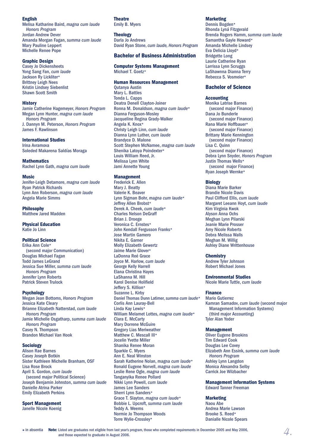## **English**

Melisa Katharine Baird, *magna cum laude Honors Program* Jordan Andrew Dever Amanda Morgan Fagan, *summa cum laude* Mary Pauline Leppert Michelle Renee Pope

### **Graphic Design**

Casey Jo Dickensheets Yong Sang Fan, *cum laude* Jackson Ry Lickliter\* Brittney Leigh Nees Kristin Lindsey Siebenlist Shawn Scott Smith

#### **History**

Jamie Catherine Hagemeyer, *Honors Program* Megan Lynn Hunter, *magna cum laude Honors Program* J. Dannyn M. Peterson, *Honors Program* James F. Rawlinson

#### **International Studies**

Irina Avramova Soleded Makarena Saldías Moraga

**Mathematics**

Rachel Lynn Gath, *magna cum laude*

#### **Music**

Jenifer-Leigh Detamore, *magna cum laude* Ryan Patrick Richards Lynn Ann Roberson, *magna cum laude* Angela Marie Simms

**Philosophy** Matthew Jared Madden

**Physical Education** Katie Jo Linn

## **Political Science**

Erika Ann Cole\* (second major Communication) Douglas Michael Fagan Todd James LeGrand Jessica Sue Miller, *summa cum laude Honors Program* Jennifer Lynn Roberts Patrick Steven Trulock

## **Psychology**

Megan Jean Bottoms, *Honors Program* Jessica Kate Cleary Brianne Elizabeth Natterstad, *cum laude Honors Program* Jamie Michelle Osgatharp, *summa cum laude Honors Program* Casey N. Thompson Brandon Michael Van Hook

## **Sociology**

Alison Rae Barnes Casey Joseph Botkin Sister Kathleen Michelle Branham, OSF Lisa Rose Brock April S. Gordon, *cum laude* (second major Political Science) Joseph Benjamin Johnston, *summa cum laude* Danielle Atrina Parker Emily Elizabeth Perkins

**Sport Management**

Janelle Nicole Koenig

#### **Theatre** Emily B. Myers

## **Theology**

Darla Jo Andrews David Ryan Stone, *cum laude, Honors Program*

# **Bachelor of Business Administration**

#### **Computer Systems Management** Michael T. Goetz\*

## **Human Resources Management**

Qutanya Austin Mary L. Battles Tonda L. Capps Deatra Denell Clayton-Joiner Ronna M. Donaldson, *magna cum laude*\* Dianna Ferguson-Mosley Jacqueline Regina Grady-Walker Angela K. Knox\* Christy Leigh Linn, *cum laude* Dianna Lynn Luther, *cum laude* Brandyce D. Malone Scott Stephen McNamee, *magna cum laude* Shenika Latoya Poindexter\* Louis William Reed, Jr. Melissa Lynn White Jami Annette Young

## **Management**

Frederick E. Allen Mary J. Beatty Valerie K. Beaver Lynn Sigman Bohr, *magna cum laude*\* Jeffrey Allen Brobst\* Derek A. Cheek, *cum laude*\* Charles Nelson DeGraff Brian J. Droege Veronica C. Ernstes\* John Kendall Fergusson Franks\* Jose Martin Gamero Nikita E. Garner Molly Elizabeth Gewertz Jaime Marie Glover\* LaDonna Reé Grace Joyce M. Harlow, *cum laude* George Kelly Harrell Elana Christina Hayes LaShanna M. Hill Karol Denise Holifield Jeffery S. Killion\* Suzanne L. Kirby Daniel Thomas Dunn Latimer, *summa cum laude* \*Corlis Ann Lauray-Bell Linda Kay Lewis\* William Melamet Lottes, *magna cum laude*\* Clara E. McCarty Mary Dorrene McGuire Gregory Lias Meriweather Matthew C. Mescall III\* Jocelin Yvette Miller Shanika Renee Moran Sparkle C. Myers Ann E. Neal Winston Sarah Katherine Nolan, magna *cum laude*\* Ronald Eugene Norvell, *magna cum laude* Leslie Rene Ogle, *magna cum laude* Tanganyika Renee Pollard Nikki Lynn Powell, *cum laude* James Lee Sanders Sherri Lynn Sanders\* Grace T. Slayton, *magna cum laude*\* Bobbie L. Upcroft, *summa cum laude* Teddy A. Weems Normie Jo Thompson Woods Torre Wylie-Crossley\*

## **Marketing**

Dennis Bogden\* Rhonda Lyná Fitzgerald Brenda Rogers Hamm, *summa cum laude* Samantha Gayle Howard\* Amanda Michelle Lindsey Eva Delicia Lloyd\* Bridgette Long Laurie Catherine Ryan Larrissa Lynn Scruggs LaShawnna Dianna Terry Rebecca S. Vosmeier\*

## **Bachelor of Science**

## **Accounting**

Monika Latrise Barnes (second major Finance) Dana Jo Bunderle (second major Finance) Rana Marie Hoffbauer\* (second major Finance) Brittany Marie Kennington (second major Finance) Lisa C. Quinn (second major Finance) Debra Lynn Snyder, *Honors Program* Justin Thomas Wells\* (second major Finance) Ryan Joseph Wernke\*

## **Biology**

Diana Marie Barker Brandie Nicole Davis Paul Clifford Ellis, *cum laude* Margaret Leeann Hoyt, *cum laude* Kim Virginia Kwok Alyson Anna Ochs Meghan Lynn Pilarski Jeanie Marie Prosser Amy Nicole Roberts Debra Melissa Walls Meghan M. Willig Ashley Diane Writtenhouse

#### **Chemistry**

Andrew Tyler Johnson Robert Michael Jones

### **Environmental Studies**

Nicole Marie Tuttle, *cum laude*

## **Finance**

Mario Gutierrez Kamran Samadov, *cum laude* (second major Management Information Systems) (third major Accounting) Tyler Alan Yoder

#### **Management**

Oliver Eugene Brookins Tim Edward Cook Douglas Lee Covey Elizabeth Ann Essink, *summa cum laude Honors Program* Ashley Lynn Langdon Monica Alexandra Selby Carrick Joe Wilzbacher

**Management Information Systems** Edward Tanner Freeman

#### **Marketing**

Naou Abe Andrea Marie Lawson Brooke S. Reed\* Danialle Nicole Spears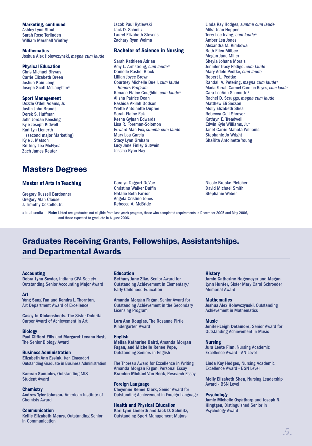**Marketing, continued**

Ashley Lynn Stout Sarah Rose Terlinden William Marshall Winfrey

**Mathematics**

Joshua Alex Holewczynski, *magna cum laude*

## **Physical Education**

Chris Michael Biswas Carrie Elizabeth Breen Joshua Kain Long Joseph Scott McLaughlin\*

## **Sport Management**

Dozzle O'dell Adams, Jr. Justin John Brandt Derek S. Huffman John Jordan Keesling Kyle Joseph Kidwell Kari Lyn Lienerth (second major Marketing) Kyle J. Matson Brittney Lea McElyea Zach James Reuter

# Masters Degrees

### **Master of Arts in Teaching**

Gregory Russell Bardonner Gregory Alan Clouse J. Timothy Costello, Jr.

Jacob Paul Rytlewski Jack D. Schmitz Laurel Elizabeth Stevens Zachary Ryan Wolma

## **Bachelor of Science in Nursing**

Sarah Kathleen Adrian Amy L. Armstrong, *cum laude*\* Danielle Rashel Black Lillian Joyce Brown Courtney Michelle Buell, *cum laude Honors Program* Renaee Elaine Coughlin, *cum laude*\* Alisha Patrice Dean Rashida Akilah Dodson Yvette Antoinette Dupree Sarah Elaine Eck Kesha Gyjuan Edwards Lisa R. Foreman-Solomon Edward Alan Fox, *summa cum laude* Mary Lou Garcia Stacy Lynn Graham Lucy Jane Finley Gutwein Jessica Ryan Hay

Linda Kay Hodges, *summa cum laude* Mika Jean Hopper Terry Lee Irving, *cum laude*\* Amber Lea Jones Alexandra M. Kimbowa Beth Ellen Milbee Megan Jane Miller Sheyla Johana Morais Jennifer Tracy Pedigo, *cum laude* Mary Adele Pedtke, *cum laude* Robert L. Pedtke Randall A. Petering, *magna cum laude*\* Maria Farrah Carmel Carreon Reyes, *cum laude* Cara LeeAnn Schmutte\* Rachel D. Scruggs, *magna cum laude* Matthew Eli Sexson Molly Elizabeth Shea Rebecca Gail Shroyer Kathryn E. Treadwell Edwin Kyle Williams, Jr.\* Janet Carrie Mahota Williams Stephanie Jo Wright ShaRita Antoinette Young

Carolyn Taggart DeVoe Christina Walker Duffin Natalie Beth Farrior Angela Cristine Jones Rebecca A. McBride

Nicole Brooke Pletcher David Michael Smith Stephanie Weber

 in absentia **Note:** Listed are graduates not eligible from last year's program, those who completed requirements in December 2005 and May 2006, and those expected to graduate in August 2006.

# Graduates Receiving Grants, Fellowships, Assistantships, and Departmental Awards

### **Accounting**

**Debra Lynn Snyder,** Indiana CPA Society Outstanding Senior Accounting Major Award

#### **Art**

**Yong Sang Fan** and **Kendra L. Thornton,** Art Department Award of Excellence

**Casey Jo Dickensheets,** The Sister Dolorita Carper Award of Achievement in Art

#### **Biology**

**Paul Clifford Ellis** and **Margaret Leeann Hoyt,**  The Senior Biology Award

#### **Business Administration Elizabeth Ann Essink,** Ken Elmendorf Outstanding Graduate in Business Administration

**Kamran Samadov,** Outstanding MIS Student Award

## **Chemistry**

**Andrew Tyler Johnson,** American Institute of Chemists Award

#### **Communication Kellie Elizabeth Mears,** Outstanding Senior in Communication

### **Education**

**Bethany Jane Zike,** Senior Award for Outstanding Achievement in Elementary/ Early Childhood Education

**Amanda Morgan Fagan,** Senior Award for Outstanding Achievement in the Secondary Licensing Program

**Lora Ann Douglas,** The Rosanne Pirtle Kindergarten Award

#### **English**

**Melisa Katharine Baird, Amanda Morgan Fagan, and Michelle Renee Pope,**  Outstanding Seniors in English

The Thoreau Award for Excellence in Writing **Amanda Morgan Fagan**, Personal Essay **Brandon Michael Van Hook**, Research Essay

**Foreign Language Cheyenne Renee Clark,** Senior Award for Outstanding Achievement in Foreign Language

#### **Health and Physical Education Kari Lynn Lienerth** and **Jack D. Schmitz,** Outstanding Sport Management Majors

## **History**

**Jamie Catherine Hagemeyer** and **Megan Lynn Hunter,** Sister Mary Carol Schroeder Memorial Award

### **Mathematics**

**Joshua Alex Holewczynski,** Outstanding Achievement in Mathematics

### **Music**

**Jenifer-Leigh Detamore,** Senior Award for Outstanding Achievement in Music

### **Nursing**

**Jura Leete Finn,** Nursing Academic Excellence Award - AN Level

**Linda Kay Hodges,** Nursing Academic Excellence Award - BSN Level

**Molly Elizabeth Shea,** Nursing Leadership Award - BSN Level

### **Psychology**

**Jamie Michelle Osgatharp** and **Joseph N. Hingtgen,** Distinguished Senior in Psychology Award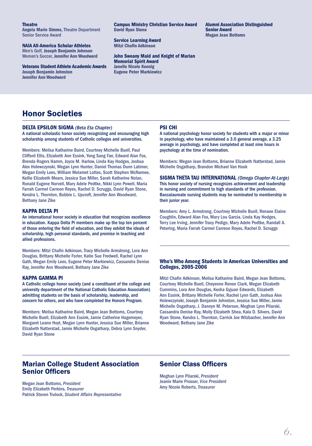#### **Theatre**

**Angela Marie Simms,** Theatre Department Senior Service Award

**NAIA All-America Scholar Athletes** Men's Golf, **Joseph Benjamin Johnson** Women's Soccer, **Jennifer Ann Woodward**

**Veterans Student Athlete Academic Awards Joseph Benjamin Johnston Jennifer Ann Woodward**

**Campus Ministry Christian Service Award David Ryan Stone**

**Service Learning Award Mitzi Chafin Adkinson** 

**John Sweany Maid and Knight of Marian Memorial Spirit Award Janelle Nicole Koenig Eugene Peter Markiewicz**

**Alumni Association Distinguished Senior Award Megan Jean Bottoms**

# Honor Societies

#### **DELTA EPSILON SIGMA** *(Beta Eta Chapter)*

A national scholastic honor society recognizing and encouraging high scholarship among students of Catholic colleges and universities.

Members: Melisa Katharine Baird, Courtney Michelle Buell, Paul Clifford Ellis, Elizabeth Ann Essink, Yong Sang Fan, Edward Alan Fox, Brenda Rogers Hamm, Joyce M. Harlow, Linda Kay Hodges, Joshua Alex Holewczynski, Megan Lynn Hunter, Daniel Thomas Dunn Latimer, Megan Emily Lees, William Melamet Lottes, Scott Stephen McNamee, Kellie Elizabeth Mears, Jessica Sue Miller, Sarah Katherine Nolan, Ronald Eugene Norvell, Mary Adele Pedtke, Nikki Lynn Powell, Maria Farrah Carmel Carreon Reyes, Rachel D. Scruggs, David Ryan Stone, Kendra L. Thornton, Bobbie L. Upcroft, Jennifer Ann Woodward, Bethany Jane Zike

## **KAPPA DELTA PI**

An international honor society in education that recognizes excellence in education. Kappa Delta Pi members make up the top ten percent of those entering the field of education, and they exhibit the ideals of scholarship, high personal standards, and promise in teaching and allied professions.

Members: Mitzi Chafin Adkinson, Tracy Michelle Armstrong, Lora Ann Douglas, Brittany Michelle Forler, Katie Sue Fredwell, Rachel Lynn Gath, Megan Emily Lees, Eugene Peter Markiewicz, Cassandra Denise Ray, Jennifer Ann Woodward, Bethany Jane Zike

### **KAPPA GAMMA PI**

A Catholic college honor society (and a constituent of the college and university department of the National Catholic Education Association) admitting students on the basis of scholarship, leadership, and concern for others, and who have completed the Honors Program.

Members: Melisa Katharine Baird, Megan Jean Bottoms, Courtney Michelle Buell, Elizabeth Ann Essink, Jamie Catherine Hagemeyer, Margaret Leann Hoyt, Megan Lynn Hunter, Jessica Sue Miller, Brianne Elizabeth Natterstad, Jamie Michelle Osgatharp, Debra Lynn Snyder, David Ryan Stone

## **PSI CHI**

A national psychology honor society for students with a major or minor in psychology, who have maintained a 3.0 general average, a 3.25 average in psychology, and have completed at least nine hours in psychology at the time of nomination.

Members: Megan Jean Bottoms, Brianne Elizabeth Natterstad, Jamie Michelle Osgatharp, Brandon Michael Van Hook

**SIGMA THETA TAU INTERNATIONAL** *(Omega Chapter-At-Large)*  This honor society of nursing recognizes achievement and leadership in nursing and commitment to high standards of the profession. Baccalaureate nursing students may be nominated to membership in their junior year.

Members: Amy L. Armstrong, Courtney Michelle Buell, Renaee Elaine Coughlin, Edward Alan Fox, Mary Lou Garcia, Linda Kay Hodges, Terry Lee Irving, Jennifer Tracy Pedigo, Mary Adele Pedtke, Randall A. Petering, Maria Farrah Carmel Carreon Reyes, Rachel D. Scruggs

#### **Who's Who Among Students in American Universities and Colleges, 2005-2006**

Mitzi Chafin Adkinson, Melisa Katharine Baird, Megan Jean Bottoms, Courtney Michelle Buell, Cheyenne Renee Clark, Megan Elizabeth Cummins, Lora Ann Douglas, Kesha Gyjuan Edwards, Elizabeth Ann Essink, Brittany Michelle Forler, Rachel Lynn Gath, Joshua Alex Holewczynski, Joseph Benjamin Johnston, Jessica Sue Miller, Jamie Michelle Osgatharp, J. Dannyn M. Peterson, Meghan Lynn Pilarski, Cassandra Denise Ray, Molly Elizabeth Shea, Kala D. Silvers, David Ryan Stone, Kendra L. Thornton, Carrick Joe Wilzbacher, Jennifer Ann Woodward, Bethany Jane Zike

## Marian College Student Association **Senior Officers**

Megan Jean Bottoms, *President* Emily Elizabeth Perkins, *Treasurer* Patrick Steven Trulock, *Student Affairs Representative*

## **Senior Class Officers**

Meghan Lynn Pilarski, *President* Jeanie Marie Prosser, *Vice President* Amy Nicole Roberts, *Treasurer*

*6.*